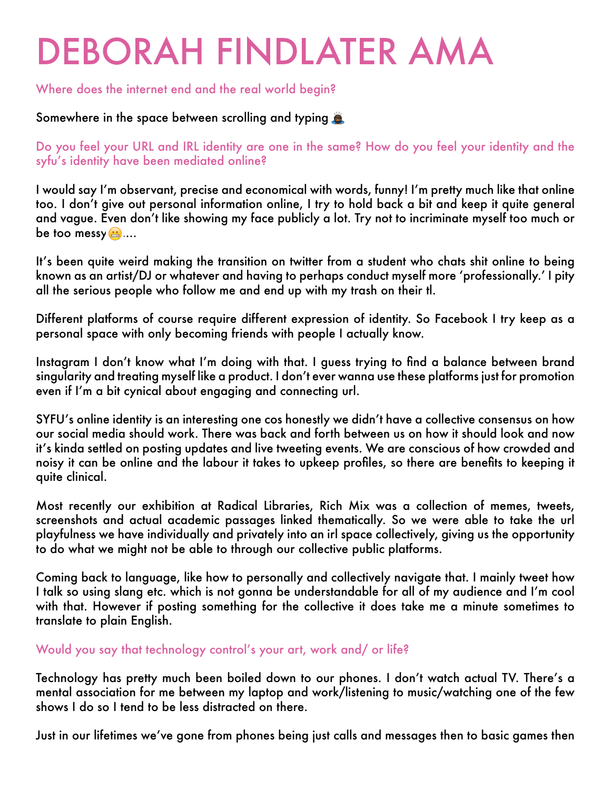# DEBORAH FINDLATER AMA

#### Where does the internet end and the real world begin?

## Somewhere in the space between scrolling and typing

Do you feel your URL and IRL identity are one in the same? How do you feel your identity and the syfu's identity have been mediated online?

I would say I'm observant, precise and economical with words, funny! I'm pretty much like that online too. I don't give out personal information online, I try to hold back a bit and keep it quite general and vague. Even don't like showing my face publicly a lot. Try not to incriminate myself too much or be too messy $\mathbf{a}$ ...

It's been quite weird making the transition on twitter from a student who chats shit online to being known as an artist/DJ or whatever and having to perhaps conduct myself more 'professionally.' I pity all the serious people who follow me and end up with my trash on their tl.

Different platforms of course require different expression of identity. So Facebook I try keep as a personal space with only becoming friends with people I actually know.

Instagram I don't know what I'm doing with that. I guess trying to find a balance between brand singularity and treating myself like a product. I don't ever wanna use these platforms just for promotion even if I'm a bit cynical about engaging and connecting url.

SYFU's online identity is an interesting one cos honestly we didn't have a collective consensus on how our social media should work. There was back and forth between us on how it should look and now it's kinda settled on posting updates and live tweeting events. We are conscious of how crowded and noisy it can be online and the labour it takes to upkeep profiles, so there are benefits to keeping it quite clinical.

Most recently our exhibition at Radical Libraries, Rich Mix was a collection of memes, tweets, screenshots and actual academic passages linked thematically. So we were able to take the url playfulness we have individually and privately into an irl space collectively, giving us the opportunity to do what we might not be able to through our collective public platforms.

Coming back to language, like how to personally and collectively navigate that. I mainly tweet how I talk so using slang etc. which is not gonna be understandable for all of my audience and I'm cool with that. However if posting something for the collective it does take me a minute sometimes to translate to plain English.

### Would you say that technology control's your art, work and/ or life?

Technology has pretty much been boiled down to our phones. I don't watch actual TV. There's a mental association for me between my laptop and work/listening to music/watching one of the few shows I do so I tend to be less distracted on there.

Just in our lifetimes we've gone from phones being just calls and messages then to basic games then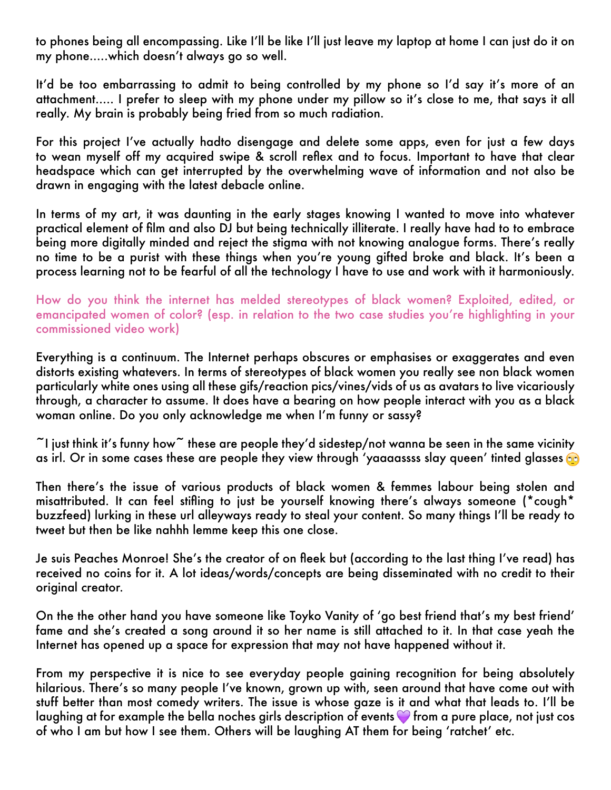to phones being all encompassing. Like I'll be like I'll just leave my laptop at home I can just do it on my phone.....which doesn't always go so well.

It'd be too embarrassing to admit to being controlled by my phone so I'd say it's more of an attachment..... I prefer to sleep with my phone under my pillow so it's close to me, that says it all really. My brain is probably being fried from so much radiation.

For this project I've actually hadto disengage and delete some apps, even for just a few days to wean myself off my acquired swipe & scroll reflex and to focus. Important to have that clear headspace which can get interrupted by the overwhelming wave of information and not also be drawn in engaging with the latest debacle online.

In terms of my art, it was daunting in the early stages knowing I wanted to move into whatever practical element of film and also DJ but being technically illiterate. I really have had to to embrace being more digitally minded and reject the stigma with not knowing analogue forms. There's really no time to be a purist with these things when you're young gifted broke and black. It's been a process learning not to be fearful of all the technology I have to use and work with it harmoniously.

How do you think the internet has melded stereotypes of black women? Exploited, edited, or emancipated women of color? (esp. in relation to the two case studies you're highlighting in your commissioned video work)

Everything is a continuum. The Internet perhaps obscures or emphasises or exaggerates and even distorts existing whatevers. In terms of stereotypes of black women you really see non black women particularly white ones using all these gifs/reaction pics/vines/vids of us as avatars to live vicariously through, a character to assume. It does have a bearing on how people interact with you as a black woman online. Do you only acknowledge me when I'm funny or sassy?

 $\tilde{\phantom{a}}$ I just think it's funny how $\tilde{\phantom{a}}$  these are people they'd sidestep/not wanna be seen in the same vicinity as irl. Or in some cases these are people they view through 'yaaaassss slay queen' tinted glasses co

Then there's the issue of various products of black women & femmes labour being stolen and misattributed. It can feel stifling to just be yourself knowing there's always someone (\*cough\* buzzfeed) lurking in these url alleyways ready to steal your content. So many things I'll be ready to tweet but then be like nahhh lemme keep this one close.

Je suis Peaches Monroe! She's the creator of on fleek but (according to the last thing I've read) has received no coins for it. A lot ideas/words/concepts are being disseminated with no credit to their original creator.

On the the other hand you have someone like Toyko Vanity of 'go best friend that's my best friend' fame and she's created a song around it so her name is still attached to it. In that case yeah the Internet has opened up a space for expression that may not have happened without it.

From my perspective it is nice to see everyday people gaining recognition for being absolutely hilarious. There's so many people I've known, grown up with, seen around that have come out with stuff better than most comedy writers. The issue is whose gaze is it and what that leads to. I'll be laughing at for example the bella noches girls description of events  $\bullet$  from a pure place, not just cos of who I am but how I see them. Others will be laughing AT them for being 'ratchet' etc.